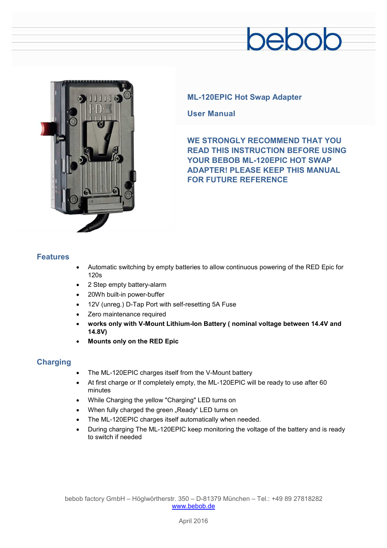## pebob



### **ML-120EPIC Hot Swap Adapter**

**User Manual** 

**WE STRONGLY RECOMMEND THAT YOU READ THIS INSTRUCTION BEFORE USING YOUR BEBOB ML-120EPIC HOT SWAP ADAPTER! PLEASE KEEP THIS MANUAL FOR FUTURE REFERENCE** 

#### **Features**

- · Automatic switching by empty batteries to allow continuous powering of the RED Epic for 120s
- 2 Step empty battery-alarm
- 20Wh built-in power-buffer
- · 12V (unreg.) D-Tap Port with self-resetting 5A Fuse
- Zero maintenance required
- · **works only with V-Mount Lithium-Ion Battery ( nominal voltage between 14.4V and 14.8V)**
- · **Mounts only on the RED Epic**

## **Charging**

- The ML-120EPIC charges itself from the V-Mount battery
- · At first charge or If completely empty, the ML-120EPIC will be ready to use after 60 minutes
- · While Charging the yellow "Charging" LED turns on
- When fully charged the green "Ready" LED turns on
- The ML-120EPIC charges itself automatically when needed.
- · During charging The ML-120EPIC keep monitoring the voltage of the battery and is ready to switch if needed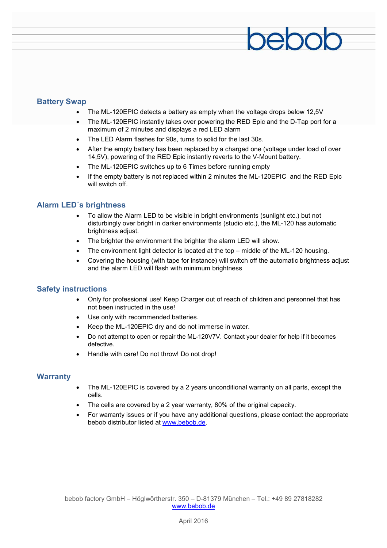#### **Battery Swap**

- The ML-120EPIC detects a battery as empty when the voltage drops below 12,5V
- The ML-120EPIC instantly takes over powering the RED Epic and the D-Tap port for a maximum of 2 minutes and displays a red LED alarm

pebob

- · The LED Alarm flashes for 90s, turns to solid for the last 30s.
- After the empty battery has been replaced by a charged one (voltage under load of over 14,5V), powering of the RED Epic instantly reverts to the V-Mount battery.
- The ML-120EPIC switches up to 6 Times before running empty
- If the empty battery is not replaced within 2 minutes the ML-120EPIC and the RED Epic will switch off.

#### **Alarm LED´s brightness**

- · To allow the Alarm LED to be visible in bright environments (sunlight etc.) but not disturbingly over bright in darker environments (studio etc.), the ML-120 has automatic brightness adjust.
- The brighter the environment the brighter the alarm LED will show.
- The environment light detector is located at the top middle of the ML-120 housing.
- · Covering the housing (with tape for instance) will switch off the automatic brightness adjust and the alarm LED will flash with minimum brightness

#### **Safety instructions**

- · Only for professional use! Keep Charger out of reach of children and personnel that has not been instructed in the use!
- Use only with recommended batteries.
- Keep the ML-120EPIC drv and do not immerse in water.
- · Do not attempt to open or repair the ML-120V7V. Contact your dealer for help if it becomes defective.
- Handle with care! Do not throw! Do not drop!

#### **Warranty**

- The ML-120EPIC is covered by a 2 years unconditional warranty on all parts, except the cells.
- The cells are covered by a 2 year warranty, 80% of the original capacity.
- · For warranty issues or if you have any additional questions, please contact the appropriate bebob distributor listed at [www.bebob.de.](http://www.bebob.de)